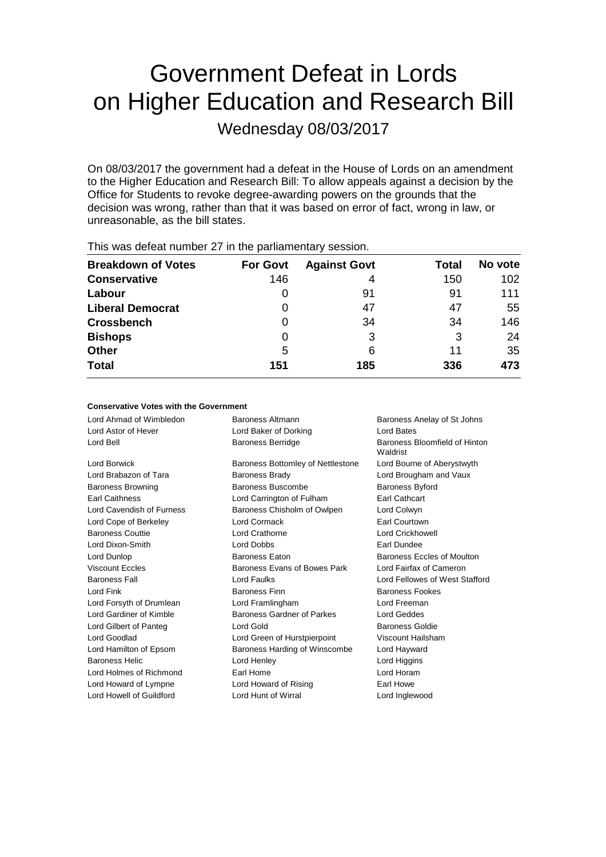# Government Defeat in Lords on Higher Education and Research Bill

Wednesday 08/03/2017

On 08/03/2017 the government had a defeat in the House of Lords on an amendment to the Higher Education and Research Bill: To allow appeals against a decision by the Office for Students to revoke degree-awarding powers on the grounds that the decision was wrong, rather than that it was based on error of fact, wrong in law, or unreasonable, as the bill states.

| <b>Breakdown of Votes</b> | <b>For Govt</b> | <b>Against Govt</b> | Total | No vote |
|---------------------------|-----------------|---------------------|-------|---------|
| <b>Conservative</b>       | 146             | 4                   | 150   | 102     |
| Labour                    | O               | 91                  | 91    | 111     |
| <b>Liberal Democrat</b>   | 0               | 47                  | 47    | 55      |
| <b>Crossbench</b>         | 0               | 34                  | 34    | 146     |
| <b>Bishops</b>            | 0               | 3                   | 3     | 24      |
| <b>Other</b>              | 5               | 6                   | 11    | 35      |
| <b>Total</b>              | 151             | 185                 | 336   | 473     |

This was defeat number 27 in the parliamentary session.

#### **Conservative Votes with the Government**

| Lord Ahmad of Wimbledon   | Baroness Altmann                                    | Baroness Anelay of St Johns               |  |
|---------------------------|-----------------------------------------------------|-------------------------------------------|--|
| Lord Astor of Hever       | Lord Baker of Dorking                               | Lord Bates                                |  |
| Lord Bell                 | <b>Baroness Berridge</b>                            | Baroness Bloomfield of Hinton<br>Waldrist |  |
| Lord Borwick              | Baroness Bottomley of Nettlestone                   | Lord Bourne of Aberystwyth                |  |
| Lord Brabazon of Tara     | Lord Brougham and Vaux<br>Baroness Brady            |                                           |  |
| <b>Baroness Browning</b>  | Baroness Buscombe<br><b>Baroness Byford</b>         |                                           |  |
| <b>Earl Caithness</b>     | <b>Earl Cathcart</b><br>Lord Carrington of Fulham   |                                           |  |
| Lord Cavendish of Furness | Baroness Chisholm of Owlpen                         | Lord Colwyn                               |  |
| Lord Cope of Berkeley     | Lord Cormack                                        | Earl Courtown                             |  |
| <b>Baroness Couttie</b>   | Lord Crathorne                                      | Lord Crickhowell                          |  |
| Lord Dixon-Smith          | Lord Dobbs                                          | Earl Dundee                               |  |
| Lord Dunlop               | Baroness Eccles of Moulton<br><b>Baroness Eaton</b> |                                           |  |
| <b>Viscount Eccles</b>    | Baroness Evans of Bowes Park                        | Lord Fairfax of Cameron                   |  |
| <b>Baroness Fall</b>      | Lord Faulks                                         | Lord Fellowes of West Stafford            |  |
| Lord Fink                 | <b>Baroness Finn</b><br><b>Baroness Fookes</b>      |                                           |  |
| Lord Forsyth of Drumlean  | Lord Framlingham                                    | Lord Freeman                              |  |
| Lord Gardiner of Kimble   | Baroness Gardner of Parkes                          | Lord Geddes                               |  |
| Lord Gilbert of Panteg    | Lord Gold                                           | <b>Baroness Goldie</b>                    |  |
| Lord Goodlad              | Lord Green of Hurstpierpoint                        | Viscount Hailsham                         |  |
| Lord Hamilton of Epsom    | Baroness Harding of Winscombe                       | Lord Hayward                              |  |
| <b>Baroness Helic</b>     | Lord Henley                                         | Lord Higgins                              |  |
| Lord Holmes of Richmond   | Earl Home                                           | Lord Horam                                |  |
| Lord Howard of Lympne     | Earl Howe<br>Lord Howard of Rising                  |                                           |  |
| Lord Howell of Guildford  | Lord Hunt of Wirral                                 | Lord Inglewood                            |  |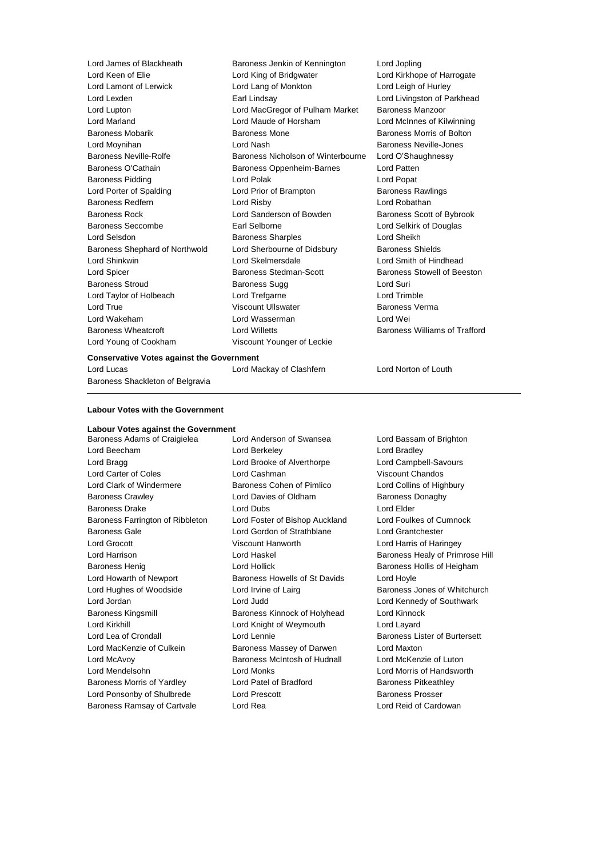Lord Keen of Elie Lord King of Bridgwater Lord Kirkhope of Harrogate Lord Lamont of Lerwick Lord Lang of Monkton Lord Leigh of Hurley Lord Lexden Earl Lindsay Lord Livingston of Parkhead Lord Lupton Lord MacGregor of Pulham Market Baroness Manzoor Lord Marland Lord Maude of Horsham Lord McInnes of Kilwinning Baroness Mobarik **Baroness Mone** Baroness Mone **Baroness Morris of Bolton** Lord Moynihan Lord Nash Baroness Neville-Jones Baroness Neville-Rolfe **Baroness Nicholson of Winterbourne** Lord O'Shaughnessy Baroness O'Cathain **Baroness Oppenheim-Barnes** Lord Patten Baroness Pidding **Lord Polak** Lord Polak **Lord Popat** Lord Popat Lord Porter of Spalding **Lord Prior of Brampton** Baroness Rawlings Baroness Redfern Lord Risby Lord Robathan Baroness Rock **Lord Sanderson of Bowden** Baroness Scott of Bybrook Baroness Seccombe Earl Selborne Lord Selkirk of Douglas Lord Selsdon Baroness Sharples Lord Sheikh Baroness Shephard of Northwold Lord Sherbourne of Didsbury Baroness Shields Lord Shinkwin Lord Skelmersdale Lord Smith of Hindhead Lord Spicer Baroness Stedman-Scott Baroness Stowell of Beeston Baroness Stroud Baroness Sugg Lord Suri Lord Taylor of Holbeach Lord Trefgarne Lord Trimble Lord True **Contact Account Ullswater** Contact Museum Baroness Verma Lord Wakeham Lord Wasserman Lord Wei Baroness Wheatcroft Lord Willetts Baroness Williams of Trafford Lord Young of Cookham Viscount Younger of Leckie

Lord James of Blackheath Baroness Jenkin of Kennington Lord Jopling

Lord Lucas Lord Mackay of Clashfern Lord Norton of Louth

#### **Labour Votes with the Government**

Baroness Shackleton of Belgravia

**Conservative Votes against the Government**

#### **Labour Votes against the Government**

Lord Beecham **Lord Berkeley** Lord Bradley Lord Bragg **Lord Brooke of Alverthorpe** Lord Campbell-Savours Lord Carter of Coles Lord Cashman Viscount Chandos Lord Clark of Windermere Baroness Cohen of Pimlico Lord Collins of Highbury Baroness Crawley **Example 2** Lord Davies of Oldham Baroness Donaghy Baroness Drake Lord Dubs Lord Elder Baroness Farrington of Ribbleton Lord Foster of Bishop Auckland Lord Foulkes of Cumnock Baroness Gale Lord Gordon of Strathblane Lord Grantchester Lord Grocott Viscount Hanworth Lord Harris of Haringey Lord Harrison Lord Haskel Baroness Healy of Primrose Hill Baroness Henig Lord Hollick Baroness Hollis of Heigham Lord Howarth of Newport **Baroness Howells of St Davids** Lord Hoyle Lord Hughes of Woodside **Lord Irvine of Lairg** Baroness Jones of Whitchurch Lord Jordan Lord Judd Lord Kennedy of Southwark Baroness Kingsmill Baroness Kinnock of Holyhead Lord Kinnock Lord Kirkhill **Lord Knight of Weymouth** Lord Layard Lord Lea of Crondall **Lord Lennie** Lord Lennie **Baroness Lister of Burtersett** Lord MacKenzie of Culkein Baroness Massey of Darwen Lord Maxton Lord McAvoy **Baroness McIntosh of Hudnall** Lord McKenzie of Luton Lord Mendelsohn Lord Monks Lord Morris of Handsworth Baroness Morris of Yardley **Lord Patel of Bradford** Baroness Pitkeathley Lord Ponsonby of Shulbrede Lord Prescott **Baroness Prosser** Baroness Prosser

Baroness Adams of Craigielea Lord Anderson of Swansea Lord Bassam of Brighton Baroness Ramsay of Cartvale Lord Rea Lord Reid of Cardowan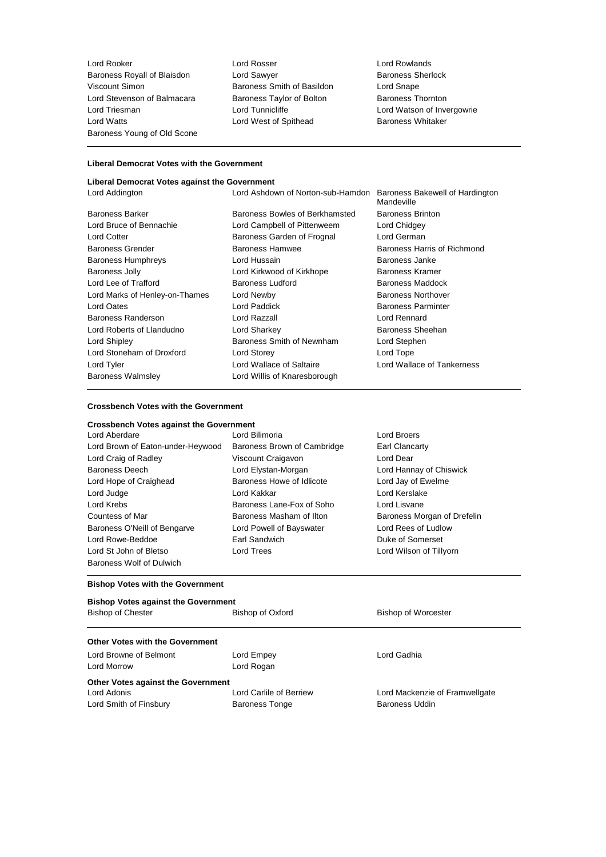Lord Rooker Lord Rosser Lord Rosser Lord Rowlands<br>
Baroness Royall of Blaisdon Lord Sawyer Lord Sample Baroness Sherlock Baroness Royall of Blaisdon Lord Sawyer Consumers Sherlock Baroness Sherlock Baroness Sherlock Basildon Baroness Sherlock Basildon Lord Shape Lord Stevenson of Balmacara Baroness Taylor of Bolton Lord Triesman Lord Tunnicliffe Lord Watson of Invergowrie Lord Watts **Lord West of Spithead** Baroness Whitaker Baroness Young of Old Scone

Baroness Smith of Basildon<br>
Baroness Taylor of Bolton<br>
Baroness Thornton

#### **Liberal Democrat Votes with the Government**

# **Liberal Democrat Votes against the Government**

| Lord Addington                 | Lord Ashdown of Norton-sub-Hamdon | Baroness Bakewell of Hardington<br>Mandeville |
|--------------------------------|-----------------------------------|-----------------------------------------------|
| Baroness Barker                | Baroness Bowles of Berkhamsted    | <b>Baroness Brinton</b>                       |
| Lord Bruce of Bennachie        | Lord Campbell of Pittenweem       | Lord Chidgey                                  |
| Lord Cotter                    | Baroness Garden of Frognal        | Lord German                                   |
| Baroness Grender               | Baroness Hamwee                   | Baroness Harris of Richmond                   |
| Baroness Humphreys             | Lord Hussain                      | Baroness Janke                                |
| Baroness Jolly                 | Lord Kirkwood of Kirkhope         | Baroness Kramer                               |
| Lord Lee of Trafford           | Baroness Ludford                  | Baroness Maddock                              |
| Lord Marks of Henley-on-Thames | Lord Newby                        | Baroness Northover                            |
| Lord Oates                     | Lord Paddick                      | <b>Baroness Parminter</b>                     |
| Baroness Randerson             | Lord Razzall                      | Lord Rennard                                  |
| Lord Roberts of Llandudno      | Lord Sharkey                      | Baroness Sheehan                              |
| Lord Shipley                   | Baroness Smith of Newnham         | Lord Stephen                                  |
| Lord Stoneham of Droxford      | Lord Storey                       | Lord Tope                                     |
| Lord Tyler                     | Lord Wallace of Saltaire          | Lord Wallace of Tankerness                    |
| Baroness Walmsley              | Lord Willis of Knaresborough      |                                               |
|                                |                                   |                                               |

#### **Crossbench Votes with the Government**

## **Crossbench Votes against the Government**

| Lord Aberdare                     |   |
|-----------------------------------|---|
| Lord Brown of Eaton-under-Heywood | Ī |
| Lord Craig of Radley              |   |
| <b>Baroness Deech</b>             |   |
| Lord Hope of Craighead            |   |
| Lord Judge                        |   |
| Lord Krebs                        |   |
| Countess of Mar                   | ſ |
| Baroness O'Neill of Bengarve      |   |
| Lord Rowe-Beddoe                  |   |
| Lord St John of Bletso            |   |
| Baroness Wolf of Dulwich          |   |

Lord Bilimoria **Lord Broers** Baroness Brown of Cambridge Earl Clancarty Viscount Craigavon **Lord Dear** Lord Elystan-Morgan Lord Hannay of Chiswick Baroness Howe of Idlicote Lord Jay of Ewelme Lord Kakkar **Lord Kerslake** Baroness Lane-Fox of Soho Lord Lisvane Lord Powell of Bayswater Lord Rees of Ludlow Earl Sandwich **Earl Sandwich** Duke of Somerset Lord Trees **Lord Wilson of Tillyorn** 

Baroness Masham of Ilton **Baroness Morgan of Drefelin** 

### **Bishop Votes with the Government**

| <b>Bishop Votes against the Government</b> |                         |                                |  |  |  |
|--------------------------------------------|-------------------------|--------------------------------|--|--|--|
| <b>Bishop of Chester</b>                   | Bishop of Oxford        | <b>Bishop of Worcester</b>     |  |  |  |
| <b>Other Votes with the Government</b>     |                         |                                |  |  |  |
| Lord Browne of Belmont                     | Lord Empey              | Lord Gadhia                    |  |  |  |
| <b>Lord Morrow</b>                         | Lord Rogan              |                                |  |  |  |
| Other Votes against the Government         |                         |                                |  |  |  |
| Lord Adonis                                | Lord Carlile of Berriew | Lord Mackenzie of Framwellgate |  |  |  |
| Lord Smith of Finsbury                     | <b>Baroness Tonge</b>   | Baroness Uddin                 |  |  |  |